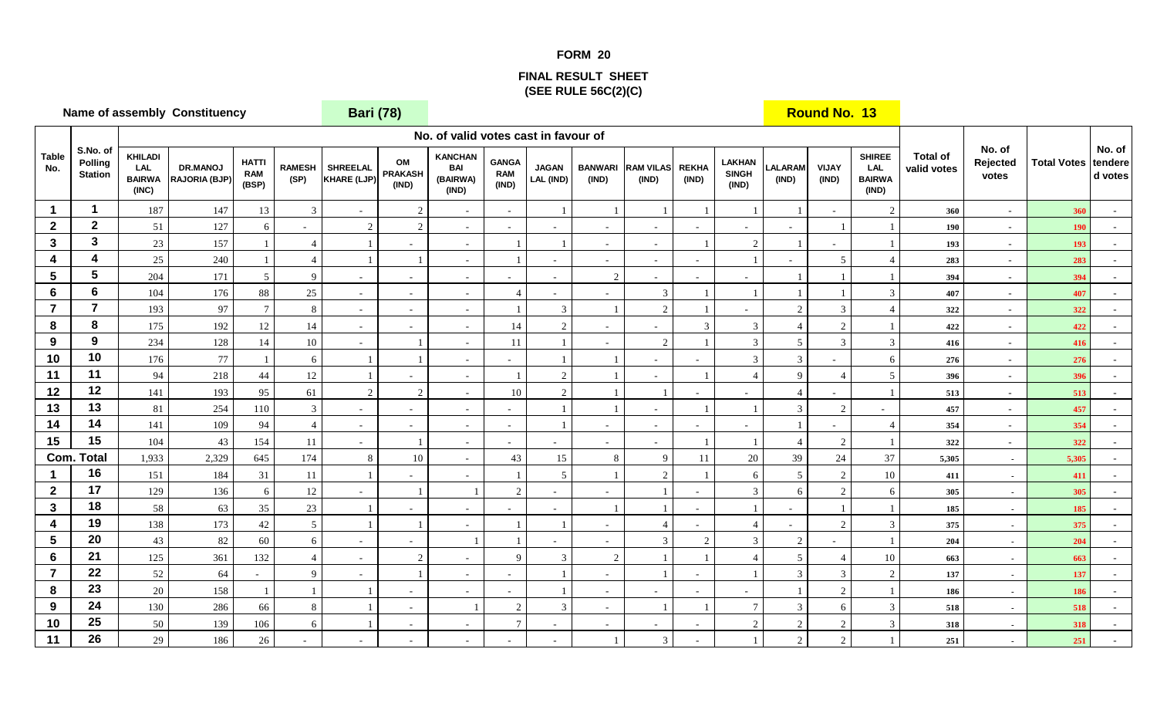## **FORM 20**

## **FINAL RESULT SHEET(SEE RULE 56C(2)(C)**

**KHILADI LAL BAIRWA (INC)DR.MANOJ RAJORIA (BJP)HATTI RAM (BSP)RAMESH (SP)SHREELAL KHARE (LJP)OM PRAKASH (IND)KANCHAN BAI (BAIRWA) (IND)GANGA RAM (IND)JAGAN LAL (IND)BANWARI (IND)RAM VILAS (IND)REKHA (IND)LAKHAN SINGH (IND)LALARAM (IND)VIJAY (IND)SHIREE LAL BAIRWA (IND)1 <sup>1</sup>**<sup>147</sup> 187 13 3 - 2 - - 1 1 1 1 1 1 - 2 **<sup>360</sup>** - **<sup>360</sup>** - **2 <sup>2</sup>**<sup>127</sup> 51 6 - 2 2 - - - - - - - - 1 1 **<sup>190</sup>** - **<sup>190</sup>** - **33 3 1 23 157 1 4 1 1 1 1 1 1 1 1 2 1 1 1 1 1 193 1 4 <sup>4</sup>**<sup>240</sup> 25 1 4 1 1 - 1 - - - - 1 - 5 4 **<sup>283</sup>** - **<sup>283</sup>** - **55 5 5** <u>204 **171 5 9 1 1 1 1 1 1 1 1 1 394 1**</u> **66 6 1**04 **176 88 25** - **4** - **4** - **3** 1 1 1 1 3 **407** - **407** -**77 7** 193 97 7 8 - - 1 3 1 2 1 - 2 3 4 322 - 322 **88 8 1** 175 **192** 12 **14** - **14** 2 - 14 2 3 3 4 2 1 **422** - **422 99 9 9 2**34 **128 14 10 1 1 1 1 1 1 2 1 3 5 3 3 416 1 1010** 176 77 1 6 1 1 - - 1 1 1 - 3 3 - 6 276 - 276 -**111 11 11 94 218 44 12 1 1 1 1 2 1 1 1 4 9 4 5 396 - 396 -12 <sup>12</sup>**<sup>193</sup> 141 95 61 2 2 - 10 2 1 1 - - 4 - 1 **<sup>513</sup>** - **<sup>513</sup>** - **13 <sup>13</sup>**<sup>254</sup> 81 110 3 - - - - 1 1 - 1 1 3 2 - **<sup>457</sup>** - **<sup>457</sup>** - **14 <sup>14</sup>**<sup>109</sup> 141 94 4 - - - - 1 - - - - 1 - 4 **<sup>354</sup>** - **<sup>354</sup>** - **1515** 104 43 154 11 - 1 - - - - 1 1 1 4 2 1 322 - 322 - 322 - 322 - 1 20 1 322 - 2,329 645 174 8 10 - 43 15 32 15 8 9 11 20 39 24 37 5,305 - 5,305 - 5,305 - 1,933 645 174 8 10 - 43 15 8 9 11 20 39 24 37 **- 5,305 5,305** - **116** 151 184 31 11 1 - 1 5 1 2 1 6 5 2 10 411 · 411 **217** 129 136 6 12 - 1 1 2 - 1 1 1 3 6 2 6 305 - 305 **3 <sup>18</sup>**<sup>63</sup> 58 35 23 1 - - - - 1 1 - 1 - 1 1 **- <sup>185</sup> <sup>185</sup>** - **419** 138 173 42 5 1 1 1 - 1 1 - 4 - 4 - 2 3 375 - 375 - 375 **520** 43 82 60 6 - 1 1 1 - 3 2 3 2 - 1 204 -**621** 125 361 132 4 - 2 - 9 3 2 1 1 4 5 4 10 **663** - 663 -**7 <sup>22</sup>**<sup>64</sup> 52 - 9 - 1 - - 1 - 1 - 1 3 3 2 **- <sup>137</sup> <sup>137</sup>** - **823** 20 158 1 1 1 1  $\frac{1}{2}$  1  $\frac{1}{20}$  186 **924 130 286 66 8 1 1 2 3 1 1 1 1 3 6 3 518 518 518 1025** 139 106 6 1 - 7 - - 1 - 2 2 3 318 - 318 **11 <sup>26</sup>**<sup>186</sup> 29 26 - - - - - - 1 3 - 1 2 2 1 **- <sup>251</sup> <sup>251</sup>** - **Table No. S.No. of Polling Station Total of valid votes No. of valid votes cast in favour of Com. TotalBari (78) Round No. 13Name of assembly ConstituencyNo. of tendere d votesNo. of Rejected votesTotal Votes**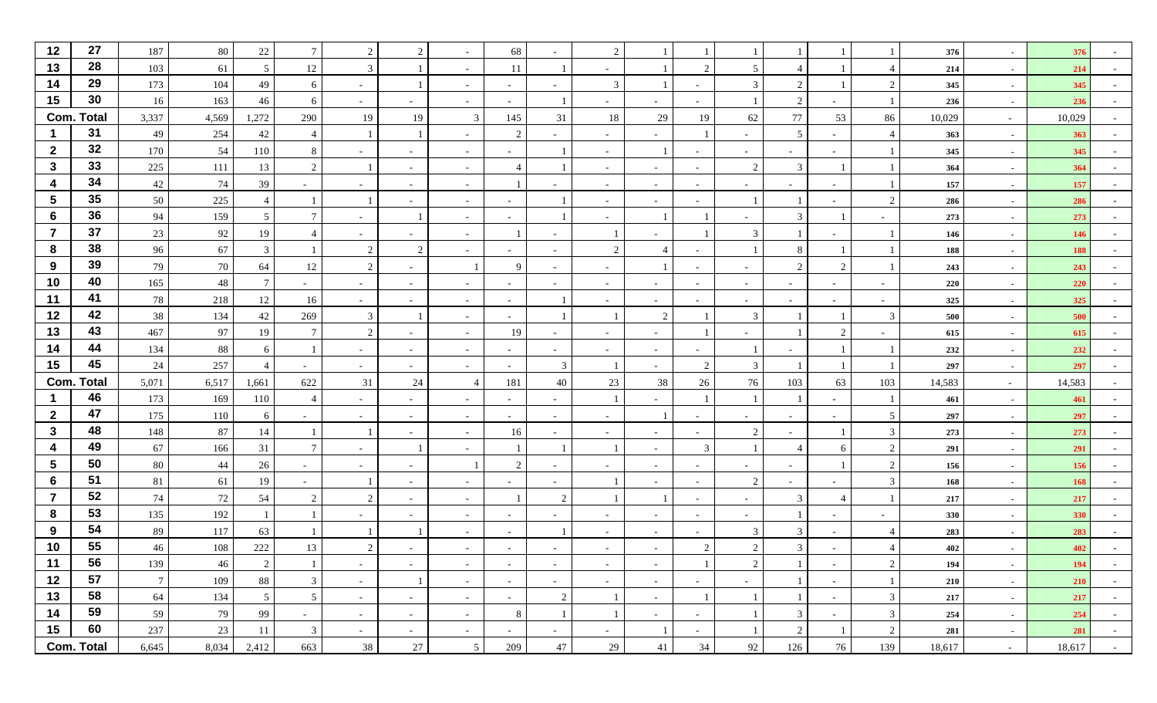| 12                      | 27                | 187             | 80      | 22              | $\overline{7}$           | 2             | 2                        |                          | 68                       |                          | $\mathcal{D}$            |                |                          |                          |                          |                          |                | 376    |                          | 376    |            |
|-------------------------|-------------------|-----------------|---------|-----------------|--------------------------|---------------|--------------------------|--------------------------|--------------------------|--------------------------|--------------------------|----------------|--------------------------|--------------------------|--------------------------|--------------------------|----------------|--------|--------------------------|--------|------------|
| 13                      | 28                | 103             | 61      | $5\overline{)}$ | 12                       | 3             |                          |                          | 11                       |                          |                          |                |                          | -5                       |                          |                          | 4              | 214    | $\sim$                   | 214    |            |
| 14                      | 29                | 173             | 104     | 49              | 6                        | $\sim$        |                          | $\sim$                   | $\sim$                   | $\overline{\phantom{a}}$ | 3                        |                | $\sim$                   | 3                        | 2                        |                          | $\overline{2}$ | 345    | $\sim$                   | 345    |            |
| 15                      | 30                | 16              | 163     | 46              | 6                        | $\sim$        | $\sim$                   | $\sim$                   | $\overline{\phantom{a}}$ |                          |                          |                | $\sim$                   |                          | 2                        |                          |                | 236    | $\sim$                   | 236    |            |
|                         | <b>Com. Total</b> | 3,337           | 4,569   | 1,272           | 290                      | 19            | 19                       | 3                        | 145                      | 31                       | 18                       | 29             | 19                       | 62                       | $77\,$                   | 53                       | 86             | 10,029 | $\sim$                   | 10,029 |            |
|                         | 31                | 49              | 254     | 42              | $\overline{4}$           |               | -1                       |                          | 2                        |                          |                          |                |                          |                          | 5                        |                          | $\overline{4}$ | 363    | $\sim$                   | 363    |            |
| $\overline{2}$          | 32                | 170             | 54      | 110             | 8                        | $\sim$        |                          | $\overline{\phantom{a}}$ | $\overline{\phantom{a}}$ |                          |                          |                | $\overline{\phantom{a}}$ | $\overline{\phantom{a}}$ |                          |                          |                | 345    | $\sim$                   | 345    |            |
| $\mathbf{3}$            | 33                | 225             | 111     | 13              | 2                        |               | $\sim$                   | $\sim$                   | $\overline{4}$           |                          | $\overline{\phantom{0}}$ | $\sim$         | $\sim$                   | 2                        | 3                        |                          |                | 364    | $\sim$                   | 364    |            |
| 4                       | 34                | 42              | 74      | 39              |                          | $\sim$        | $\sim$                   | $\sim$                   |                          |                          | $\sim$                   | $\sim$         | $\sim$                   | $\sim$                   |                          |                          |                | 157    | $\sim$                   | 157    |            |
| $5\phantom{.0}$         | 35                | $50\,$          | 225     |                 |                          |               | $\sim$                   | $\sim$                   | $\overline{\phantom{a}}$ |                          |                          | $\sim$         | $\sim$                   |                          |                          |                          | 2              | 286    | $\sim$                   | 286    |            |
| 6                       | 36                | 94              | 159     | 5 <sup>5</sup>  | $7\phantom{.0}$          | $\sim$        | $\overline{1}$           | $\overline{\phantom{a}}$ | $\sim$                   |                          |                          |                |                          |                          | $\overline{3}$           |                          |                | 273    | $\overline{\phantom{a}}$ | 273    |            |
| $\overline{7}$          | 37                | 23              | 92      | 19              |                          | $\sim$        |                          | $\overline{\phantom{a}}$ |                          |                          |                          |                |                          | 3                        |                          |                          |                | 146    | $\blacksquare$           | 146    |            |
| 8                       | 38                | 96              | 67      | 3               |                          | 2             | 2                        | $\sim$                   | $\sim$                   | $\overline{\phantom{a}}$ | 2                        | $\overline{4}$ | $\sim$                   |                          | 8                        |                          |                | 188    | $\sim$                   | 188    |            |
| 9                       | 39                | 79              | $70\,$  | 64              | 12                       | 2             | $\sim$                   |                          | 9                        |                          |                          |                | $\sim$                   | $\overline{\phantom{a}}$ | 2                        | $\gamma$                 |                | 243    | $\sim$                   | 243    |            |
| 10                      | 40                | 165             | 48      |                 | $\overline{\phantom{a}}$ | $\sim$        | $\sim$                   | $\sim$                   | $\sim$                   | $\overline{\phantom{a}}$ | $\sim$                   | $\sim$         | $\sim$                   | $\sim$                   | $\sim$                   | $\overline{\phantom{a}}$ |                | 220    | $\sim$                   | 220    |            |
| 11                      | 41                | 78              | 218     | 12              | 16                       | $\sim$        |                          | $\sim$                   | $\sim$                   |                          |                          | $\sim$         |                          | $\overline{\phantom{a}}$ |                          |                          |                | 325    | $\overline{\phantom{a}}$ | 325    |            |
| 12                      | 42                | 38              | 134     | 42              | 269                      | $\mathbf{3}$  |                          | $\sim$                   | $\sim$                   |                          |                          | $\overline{2}$ |                          | 3                        |                          |                          | 3              | 500    |                          | 500    |            |
| 13                      | 43                | 467             | 97      | 19              | $\tau$                   | 2             | $\overline{\phantom{a}}$ | $\sim$                   | 19                       | $\overline{\phantom{a}}$ |                          | $\sim$         |                          | $\sim$                   |                          | $\gamma$                 |                | 615    | $\blacksquare$           | 615    |            |
| 14                      | 44                | 134             | 88      | 6               |                          | $\sim$        | $\sim$                   | $\sim$                   | $\sim$                   |                          |                          | $\sim$         | $\sim$                   |                          |                          |                          |                | 232    | $\sim$                   | 232    |            |
| 15                      | 45                | 24              | 257     |                 | $\sim$                   | $\sim$        | $\sim$                   | $\sim$                   | $\sim$                   | 3                        |                          | $\sim$         | $\mathcal{D}$            | 3                        |                          |                          |                | 297    | $\sim$                   | 297    |            |
|                         | <b>Com. Total</b> | 5,071           | 6,517   | 1,661           | 622                      | 31            | 24                       | $\overline{4}$           | 181                      | 40                       | 23                       | 38             | 26                       | 76                       | 103                      | 63                       | 103            | 14,583 | $\sim$                   | 14,583 |            |
|                         | 46                | 173             | 169     | 110             | $\overline{4}$           | $\sim$        | $\overline{\phantom{a}}$ | $\overline{\phantom{a}}$ | $\sim$                   |                          |                          |                |                          |                          |                          |                          |                | 461    | $\sim$                   | 461    |            |
| $\mathbf{2}$            | 47                | 175             | 110     | 6               | $\sim$                   | $\sim$        | $\sim$                   | $\sim$                   | $\sim$                   | $\overline{\phantom{a}}$ |                          |                | $\sim$                   | $\sim$                   | $\sim$                   | $\overline{\phantom{a}}$ | $\mathfrak{S}$ | 297    | $\blacksquare$           | 297    |            |
| $\mathbf{3}$            | 48                | 148             | 87      | 14              |                          |               | $\sim$                   | $\sim$                   | 16                       |                          |                          | $\sim$         | $\sim$                   | 2                        |                          |                          | 3              | 273    | $\sim$                   | 273    |            |
| 4                       | 49                | 67              | 166     | 31              | $\tau$                   | $\sim$        |                          | $\sim$                   |                          |                          |                          | $\sim$         | 3                        |                          | $\overline{4}$           |                          | 2              | 291    | $\sim$                   | 291    |            |
| $\overline{\mathbf{5}}$ | 50                | 80              | 44      | 26              |                          | $\sim$        |                          |                          | 2                        |                          |                          | $\sim$         | $\overline{\phantom{a}}$ | $\overline{\phantom{a}}$ | $\overline{\phantom{a}}$ |                          | 2              | 156    | $\sim$                   | 156    |            |
| 6                       | 51                | $81\,$          | 61      | 19              |                          |               |                          | $\sim$                   | $\overline{\phantom{a}}$ |                          |                          | $\sim$         | $\blacksquare$           | 2                        |                          |                          | $\mathfrak{Z}$ | 168    | ۰.                       | 168    |            |
| 7                       | 52                | 74              | 72      | 54              | 2                        | 2             | $\sim$                   | $\sim$                   | -1                       | $\overline{2}$           |                          |                | $\sim$                   | $\sim$                   | 3                        |                          |                | 217    | $\blacksquare$           | 217    |            |
| 8                       | 53                | 135             | 192     |                 |                          |               | $\overline{\phantom{a}}$ | $\sim$                   | $\sim$                   |                          |                          | $\sim$         | $\sim$                   | $\sim$                   |                          |                          |                | 330    | $\sim$                   | 330    |            |
| 9                       | 54                | 89              | 117     | 63              |                          |               |                          | $\sim$                   | $\sim$                   |                          |                          | $\sim$         | $\blacksquare$           | 3                        | 3                        |                          | 4              | 283    |                          | 283    |            |
| 10                      | 55                | 46              | 108     | 222             | 13                       | $\mathcal{D}$ |                          |                          |                          |                          |                          |                |                          | $\gamma$                 | 3                        |                          |                | 402    |                          | 402    |            |
| 11                      | 56                | 139             | 46      | 2               |                          | $\sim$        | $\sim$                   | $\sim$                   | $\sim$                   | $\sim$                   | $\sim$                   | $\sim$         |                          | 2                        |                          | $\sim$                   | $\overline{2}$ | 194    | $\sim$                   | 194    | $\sim$     |
| 12                      | 57                | $7\phantom{.0}$ | $109\,$ | 88              | $\mathfrak{Z}$           | $\sim$        | $\mathbf{1}$             | $\sim$                   | $\sim$                   | $\sim$                   | $\sim$                   | $\sim$ $-$     | $\sim$ $-$               | $\sim$                   |                          | $\sim$                   | $\mathbf{1}$   | 210    | $\sim$                   | 210    | $\sim$ $-$ |
| 13                      | 58                | 64              | 134     | 5               | $\overline{5}$           | $\sim$        | $\sim$                   | $\sim$                   | $\sim$                   | 2                        |                          | $\sim$         |                          |                          |                          | $\sim$                   | $\mathbf{3}$   | 217    | $\sim$                   | 217    | $\sim$ $-$ |
| 14                      | 59                | 59              | 79      | 99              | $\sim$                   | $\sim$        | $\sim$                   | $\sim$                   | 8                        |                          |                          | $\sim$         | $\sim$                   |                          | $\overline{3}$           | $\sim$                   | $\mathfrak{Z}$ | 254    | $\sim$                   | 254    | $\sim$     |
| 15                      | 60                | 237             | 23      | <b>11</b>       | $\mathbf{3}$             | $\sim$        | $\sim$                   | $\sim$                   | $\sim$                   | $\sim$                   | $\sim$                   |                | $\sim$                   |                          | 2                        |                          | $\overline{2}$ | 281    | $\sim$                   | 281    | $\sim$     |
|                         | <b>Com. Total</b> | 6,645           | 8,034   | 2,412           | 663                      | 38            | 27                       | $\overline{5}$           | 209                      | $47\,$                   | 29                       | 41             | 34                       | 92                       | 126                      | 76                       | 139            | 18,617 | $\sim$                   | 18,617 | $\sim$ $-$ |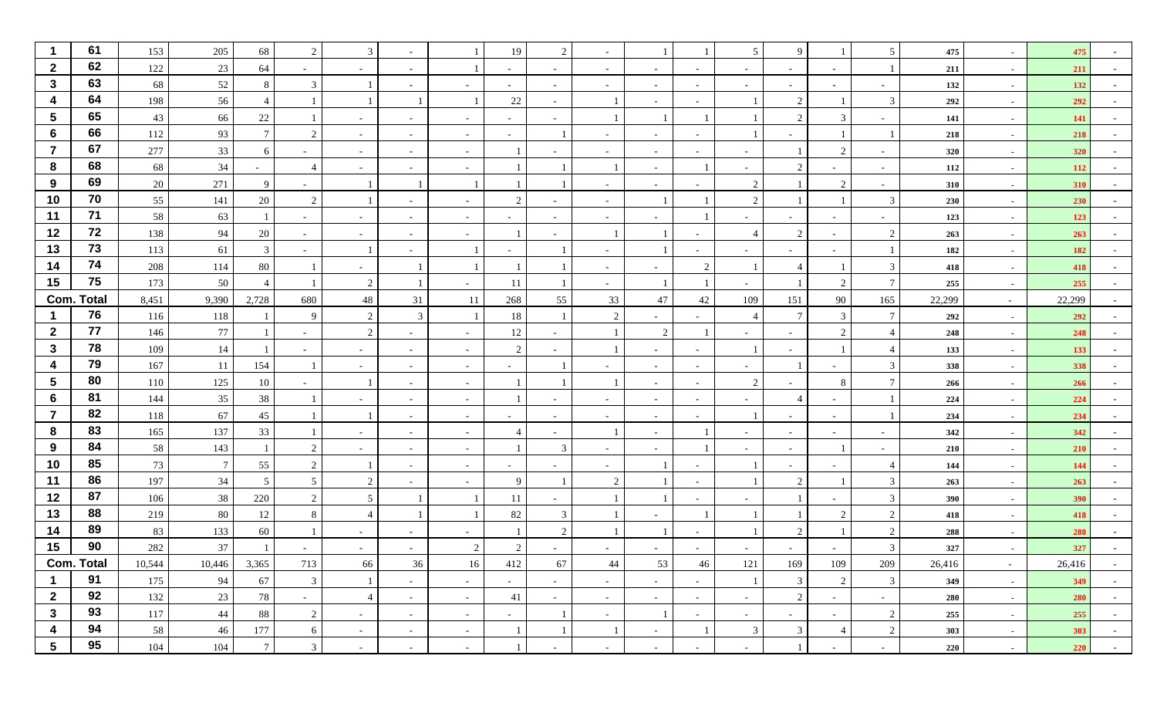|                  | 61                | 153    | 205             | 68              | $\overline{2}$           | 3                        |                          |                          | 19                       | $\mathcal{D}$  |                          |                          |        | .5                       | q             |                | 5                        | 475    |                          | 475    |                  |
|------------------|-------------------|--------|-----------------|-----------------|--------------------------|--------------------------|--------------------------|--------------------------|--------------------------|----------------|--------------------------|--------------------------|--------|--------------------------|---------------|----------------|--------------------------|--------|--------------------------|--------|------------------|
| $\overline{2}$   | 62                | 122    | 23              | 64              |                          | $\sim$                   | $\overline{\phantom{0}}$ |                          | $\overline{\phantom{a}}$ |                |                          | $\sim$                   | $\sim$ | $\overline{\phantom{a}}$ |               |                | $\mathbf{1}$             | 211    | $\sim$                   | 211    |                  |
| $\mathbf{3}$     | 63                | 68     | 52              | 8               | 3                        |                          | $\sim$                   |                          | $\sim$                   |                |                          | $\sim$                   | $\sim$ |                          |               |                | $\sim$                   | 132    | $\blacksquare$           | 132    |                  |
| 4                | 64                | 198    | 56              | 4               |                          |                          |                          |                          | $22\,$                   |                |                          | $\sim$                   |        |                          | $\mathcal{D}$ |                | 3                        | 292    | $\overline{\phantom{a}}$ | 292    |                  |
| $5\phantom{.0}$  | 65                | 43     | 66              | 22              |                          | $\sim$                   | $\sim$                   | $\overline{\phantom{0}}$ | $\sim$                   | $\sim$         |                          |                          |        |                          |               |                | ۰.                       | 141    | $\sim$                   | 141    |                  |
| $6\phantom{1}$   | 66                | 112    | 93              | $\tau$          | $\mathcal{L}$            | $\sim$                   |                          |                          | $\overline{\phantom{a}}$ |                |                          | $\overline{\phantom{a}}$ |        |                          |               |                | $\mathbf{1}$             | 218    | $\sim$                   | 218    |                  |
| $\overline{7}$   | 67                | 277    | 33              | 6               |                          | $\sim$                   | $\overline{\phantom{0}}$ |                          |                          |                |                          | $\overline{\phantom{a}}$ |        |                          |               | $\gamma$       | $\overline{\phantom{a}}$ | 320    | $\blacksquare$           | 320    |                  |
| 8                | 68                | 68     | 34              |                 |                          | $\sim$                   | $\sim$                   |                          |                          |                |                          | $\sim$                   |        |                          |               |                | $\sim$                   | 112    | $\sim$                   | 112    |                  |
| 9                | 69                | 20     | 271             | 9               |                          |                          |                          |                          |                          |                |                          | $\sim$                   |        | $\mathcal{D}$            |               | $\mathcal{D}$  | $\sim$                   | 310    | $\sim$                   | 310    |                  |
| 10               | 70                | 55     | 141             | 20              | $\overline{2}$           |                          | $\sim$                   | $\overline{\phantom{0}}$ | $\mathcal{D}$            |                | $\sim$                   |                          |        | $\overline{2}$           |               |                | 3                        | 230    | $\sim$                   | 230    |                  |
| 11               | 71                | 58     | 63              |                 |                          | $\overline{\phantom{a}}$ |                          |                          |                          |                |                          | $\overline{\phantom{a}}$ |        |                          |               |                | $\overline{\phantom{a}}$ | 123    | $\sim$                   | 123    |                  |
| 12               | 72                | 138    | 94              | 20              |                          | $\overline{\phantom{a}}$ | $\overline{\phantom{0}}$ |                          |                          |                |                          |                          |        | $\Delta$                 | $\mathcal{D}$ |                | $\overline{2}$           | 263    | $\blacksquare$           | 263    |                  |
| 13               | 73                | 113    | 61              | $\mathfrak{Z}$  |                          | -1                       |                          |                          | $\overline{\phantom{a}}$ |                |                          |                          |        |                          |               |                | 1                        | 182    | $\sim$                   | 182    |                  |
| 14               | 74                | 208    | 114             | 80              |                          | $\overline{\phantom{a}}$ |                          |                          |                          |                | $\overline{\phantom{a}}$ | $\overline{\phantom{a}}$ | 2      |                          |               |                | 3                        | 418    | $\sim$                   | 418    |                  |
| 15               | 75                | 173    | 50              | $\overline{4}$  |                          | 2                        |                          | $\overline{\phantom{a}}$ | 11                       |                | $\sim$                   |                          |        | $\sim$                   |               | $\overline{2}$ | $\overline{7}$           | 255    | $\sim$                   | 255    |                  |
|                  | <b>Com. Total</b> | 8,451  | 9,390           | 2,728           | 680                      | 48                       | 31                       | 11                       | 268                      | 55             | 33                       | 47                       | 42     | 109                      | 151           | 90             | 165                      | 22,299 | $\sim$                   | 22,299 |                  |
|                  | 76                | 116    | 118             |                 | -9                       | 2                        | $\mathfrak{Z}$           |                          | 18                       |                | $\mathcal{P}$            | $\overline{\phantom{a}}$ |        |                          |               | 3              | $7\phantom{.0}$          | 292    | $\sim$                   | 292    |                  |
| $\overline{2}$   | 77                | 146    | 77              |                 |                          | 2                        |                          |                          | 12                       |                |                          | 2                        |        |                          |               |                | $\overline{4}$           | 248    | $\sim$                   | 248    |                  |
| $\mathbf{3}$     | 78                | 109    | 14              |                 | $\overline{\phantom{0}}$ | $\sim$                   | $\sim$                   |                          | 2                        |                |                          | $\sim$                   | $\sim$ |                          |               |                | $\overline{4}$           | 133    | $\sim$                   | 133    |                  |
| 4                | 79                | 167    | 11              | 154             |                          | $\sim$                   | $\overline{\phantom{0}}$ | $\sim$                   | $\overline{\phantom{a}}$ |                |                          | $\sim$                   | $\sim$ | $\sim$                   |               |                | 3                        | 338    | $\sim$                   | 338    |                  |
| $5\phantom{.0}$  | 80                | 110    | 125             | 10              |                          | -1                       |                          |                          |                          |                |                          | $\overline{\phantom{a}}$ |        | $\overline{2}$           |               | 8              | $\tau$                   | 266    |                          | 266    |                  |
| 6                | 81                | 144    | 35              | 38              |                          | $\overline{\phantom{a}}$ | $\overline{\phantom{0}}$ |                          |                          |                |                          | $\overline{\phantom{a}}$ |        |                          |               |                | $\mathbf{1}$             | 224    | $\sim$                   | 224    |                  |
|                  | 82                | 118    | 67              | 45              |                          | -1                       | $\sim$                   |                          | $\overline{\phantom{a}}$ |                |                          | $\sim$                   |        |                          |               |                | -1                       | 234    | $\sim$                   | 234    |                  |
| 8                | 83                | 165    | 137             | 33              |                          | $\sim$                   | $\sim$                   | $\overline{\phantom{0}}$ |                          |                |                          | $\sim$                   |        |                          |               | $\sim$         | $\overline{\phantom{a}}$ | 342    | $\sim$                   | 342    |                  |
| 9                | 84                | 58     | 143             |                 | $\overline{2}$           | $\overline{\phantom{a}}$ | $\sim$                   | $\overline{\phantom{0}}$ |                          | 3              |                          | $\sim$                   |        |                          |               |                | $\sim$                   | 210    | $\sim$                   | 210    |                  |
| 10               | 85                | 73     | $7\phantom{.0}$ | 55              | $\overline{2}$           |                          |                          |                          |                          |                |                          |                          |        |                          |               |                | $\overline{4}$           | 144    |                          | 144    |                  |
| 11               | 86                | 197    | 34              | 5               | -5                       | 2                        |                          |                          | $\mathbf{Q}$             |                | ി                        |                          |        |                          | ി             |                | $\mathfrak{Z}$           | 263    | $\sim$                   | 263    |                  |
| 12               | 87                | 106    | 38              | 220             | $\overline{2}$           | 5                        |                          |                          | 11                       |                |                          |                          |        |                          |               |                | $\mathfrak{Z}$           | 390    | $\sim$                   | 390    |                  |
| 13               | 88                | 219    | 80              | 12              | 8                        | $\overline{4}$           |                          |                          | 82                       | 3              |                          |                          |        |                          |               | $\gamma$       | $\overline{2}$           | 418    | $\sim$                   | 418    |                  |
| 14               | 89                | 83     | 133             | 60              |                          |                          |                          |                          |                          | $\gamma$       |                          |                          |        |                          |               |                | $\overline{2}$           | 288    |                          | 288    |                  |
| 15               | 90                | 282    | 37              |                 |                          |                          |                          | $\mathcal{D}$            |                          |                |                          |                          |        |                          |               |                | 3                        | 327    |                          | 327    |                  |
|                  | <b>Com. Total</b> | 10,544 | 10,446          | 3,365           | 713                      | 66                       | 36                       | 16                       | 412                      | 67             | 44                       | 53                       | 46     | 121                      | 169           | $109\,$        | 209                      | 26,416 | $\sim$                   | 26,416 | $\sim$           |
| $\mathbf 1$      | 91                | 175    | 94              | 67              | $\mathbf{3}$             | $\mathbf{1}$             | $\sim$                   | $\sim$                   | $\sim$                   | $\sim$         | $\sim$                   | $\sim$                   | $\sim$ |                          | 3             | 2              | $\mathbf{3}$             | 349    | $\sim$                   | 349    | $\sim$ 100 $\mu$ |
| $\overline{2}$   | 92                | 132    | 23              | 78              | $\sim$                   | $\overline{4}$           | $\sim$                   | $\sim$                   | 41                       | $\sim$         | $\sim$                   | $\sim$                   | $\sim$ | $\sim$                   | 2             | $\sim$         | $\sim$                   | 280    | $\sim$                   | 280    | $\sim$           |
| $\mathbf{3}$     | 93                | 117    | 44              | 88              | $\overline{2}$           | $\sim$                   | $\sim$                   | $\sim$                   | $\sim$                   |                | $\sim$                   | -1                       | $\sim$ | $\sim$                   | $\sim$        | $\sim$         | $\overline{2}$           | 255    | $\sim$                   | 255    | $\sim$           |
| $\boldsymbol{4}$ | 94                | 58     | 46              | 177             | 6                        | $\sim$                   | $\sim$                   | $\overline{\phantom{a}}$ |                          | $\overline{1}$ |                          | $\sim$                   |        | $\mathbf{3}$             | $\mathbf{3}$  | $\overline{4}$ | $\sqrt{2}$               | 303    | $\sim$                   | 303    | $\sim$ $-$       |
| $5\phantom{.0}$  | 95                | 104    | $104\,$         | $7\phantom{.0}$ | $\overline{3}$           | $\sim$                   | $\sim$                   |                          |                          |                |                          | $\overline{\phantom{a}}$ |        |                          |               |                | $\sim$                   | 220    | $\sim$                   | 220    |                  |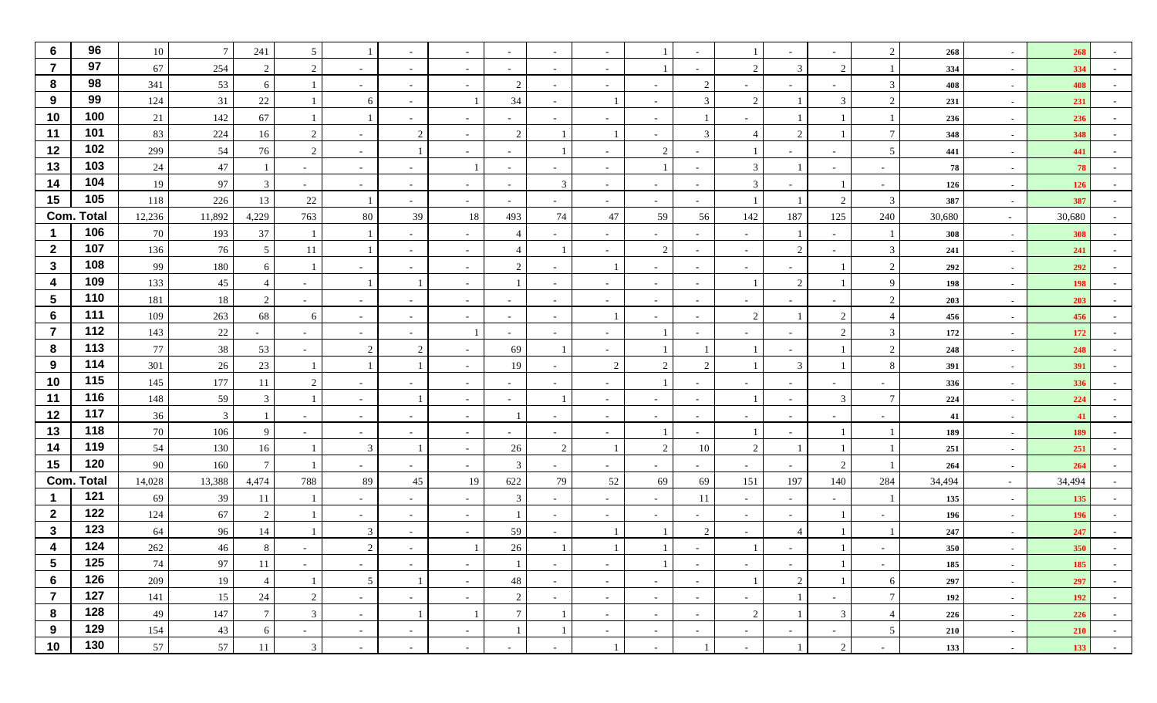| $6\phantom{1}6$ | 96                | 10     | $7\phantom{.0}$ | 241             | 5                        |                 |                          |                          | $\overline{\phantom{a}}$     |                          |                          |                |                          |                          |                |                          | 2               | 268    |                          | 268        |                  |
|-----------------|-------------------|--------|-----------------|-----------------|--------------------------|-----------------|--------------------------|--------------------------|------------------------------|--------------------------|--------------------------|----------------|--------------------------|--------------------------|----------------|--------------------------|-----------------|--------|--------------------------|------------|------------------|
| $\overline{7}$  | 97                | 67     | 254             | 2               | 2                        | $\sim$          |                          |                          | $\overline{\phantom{a}}$     |                          |                          |                |                          | $\mathcal{L}$            | 3              | $\overline{2}$           | -1              | 334    | $\blacksquare$           | 334        |                  |
| 8               | 98                | 341    | 53              | 6               |                          | $\sim$          | $\overline{\phantom{a}}$ |                          | 2                            | $\sim$                   | $\overline{\phantom{0}}$ | $\sim$         | $\mathcal{D}$            | $\sim$                   |                | $\overline{\phantom{a}}$ | $\mathfrak{Z}$  | 408    | $\sim$                   | 408        |                  |
| 9               | 99                | 124    | 31              | 22              |                          | 6               |                          |                          | 34                           |                          |                          | $\sim$         | 3                        | 2                        |                | $\mathcal{R}$            | 2               | 231    | $\sim$                   | 231        |                  |
| 10              | 100               | 21     | 142             | 67              |                          |                 |                          |                          | $\qquad \qquad \blacksquare$ |                          |                          | $\sim$         |                          |                          |                |                          |                 | 236    | $\sim$                   | 236        |                  |
| 11              | 101               | 83     | 224             | 16              | 2                        | $\sim$          | 2                        |                          | 2                            |                          |                          | $\sim$         | $\mathcal{R}$            | $\overline{4}$           | $\mathcal{D}$  |                          | $7\phantom{.0}$ | 348    | $\blacksquare$           | 348        |                  |
| 12              | 102               | 299    | 54              | 76              | 2                        | $\sim$          |                          |                          | $\overline{\phantom{a}}$     |                          |                          | $\overline{2}$ |                          |                          |                |                          | $5\overline{)}$ | 441    | $\blacksquare$           | 441        |                  |
| 13              | 103               | 24     | $47\,$          |                 | $\sim$                   | $\sim$          | $\overline{\phantom{a}}$ |                          | $\overline{\phantom{a}}$     | $\sim$                   |                          | -1             | $\sim$                   | 3                        |                | $\overline{\phantom{a}}$ | $\sim$          | 78     | $\sim$                   | 78         |                  |
| 14              | 104               | 19     | 97              | 3               | $\sim$                   | $\sim$          | $\overline{\phantom{a}}$ | $\sim$                   | $\overline{\phantom{a}}$     | 3                        |                          | $\sim$         | $\sim$                   | 3                        |                |                          | $\sim$          | 126    | $\sim$                   | 126        |                  |
| 15              | 105               | 118    | 226             | 13              | $22\,$                   |                 |                          |                          | $\overline{\phantom{a}}$     |                          |                          | $\sim$         | $\sim$                   |                          |                | $\mathcal{D}$            | 3               | 387    | $\sim$                   | 387        |                  |
| Com.            | Total             | 12,236 | 11,892          | 4,229           | 763                      | 80              | 39                       | 18                       | 493                          | 74                       | 47                       | 59             | 56                       | 142                      | 187            | 125                      | 240             | 30,680 | $\sim$                   | 30,680     |                  |
| 1               | 106               | 70     | 193             | 37              |                          |                 |                          |                          | $\overline{4}$               |                          |                          | $\sim$         | $\sim$                   | $\overline{\phantom{a}}$ |                |                          | -1              | 308    | $\blacksquare$           | 308        |                  |
| $\overline{2}$  | 107               | 136    | 76              | 5               | 11                       |                 | $\overline{\phantom{a}}$ | $\overline{\phantom{0}}$ | $\overline{\mathcal{L}}$     |                          |                          | $\overline{2}$ | $\sim$                   | $\sim$                   | 2              | $\overline{\phantom{a}}$ | $\mathbf{3}$    | 241    | $\sim$                   | 241        |                  |
| $\mathbf{3}$    | 108               | 99     | 180             | 6               |                          | $\sim$          |                          | $\sim$                   | 2                            |                          |                          | $\sim$         | $\sim$                   | $\sim$                   |                |                          | 2               | 292    | $\sim$                   | 292        |                  |
| 4               | 109               | 133    | 45              |                 |                          |                 |                          |                          |                              |                          |                          | $\sim$         | $\sim$                   |                          | 2              |                          | 9               | 198    | $\sim$                   | 198        |                  |
| 5               | 110               | 181    | 18              | 2               | $\sim$                   | $\sim$          | $\overline{\phantom{a}}$ | $\overline{\phantom{a}}$ | $\overline{\phantom{a}}$     | $\overline{\phantom{a}}$ |                          | $\sim$         | $\sim$                   | $\sim$                   |                | $\overline{\phantom{a}}$ | 2               | 203    | $\blacksquare$           | 203        |                  |
| 6               | 111               | 109    | 263             | 68              | 6                        | $\sim$          |                          |                          | $\overline{\phantom{a}}$     | $\overline{\phantom{a}}$ |                          | $\sim$         | $\overline{\phantom{a}}$ | 2                        |                | $\mathcal{D}$            | $\overline{4}$  | 456    | $\blacksquare$           | 456        |                  |
| 7               | 112               | 143    | $22\,$          | $\sim$          | $\sim$                   | $\sim$          | $\overline{\phantom{a}}$ |                          | $\overline{\phantom{a}}$     | $\sim$                   | $\sim$                   | -1             | $\sim$                   | $\sim$                   |                | $\mathcal{D}$            | $\mathfrak{Z}$  | 172    | $\sim$                   | 172        |                  |
| 8               | 113               | 77     | 38              | 53              | $\overline{\phantom{a}}$ | 2               | 2                        |                          | 69                           |                          |                          |                |                          |                          |                |                          | 2               | 248    | $\sim$                   | 248        |                  |
| 9               | 114               | 301    | 26              | 23              |                          |                 |                          |                          | 19                           |                          | $\overline{2}$           | 2              | ി                        |                          | 3              |                          | 8               | 391    | $\sim$                   | 391        |                  |
| 10              | 115               | 145    | 177             | 11              | 2                        | $\sim$          |                          | $\overline{\phantom{a}}$ | $\overline{\phantom{a}}$     | $\overline{\phantom{a}}$ | $\sim$                   | $\mathbf{1}$   | $\sim$                   | $\sim$                   |                | $\overline{\phantom{a}}$ | $\sim$          | 336    | $\sim$                   | 336        |                  |
| 11              | 116               | 148    | 59              | 3               |                          | $\sim$          |                          |                          | $\overline{\phantom{a}}$     |                          |                          | $\sim$         | $\overline{\phantom{a}}$ |                          |                | 3                        | $\overline{7}$  | 224    | $\blacksquare$           | 224        |                  |
| 12              | 117               | 36     | $\overline{3}$  |                 | $\sim$                   | $\sim$          | $\overline{\phantom{a}}$ | $\sim$                   |                              | $\sim$                   | $\sim$                   | $\sim$         | $\sim$                   | $\sim$                   | $\sim$         | $\sim$                   | $\sim$          | 41     | $\sim$                   | 41         |                  |
| 13              | 118               | 70     | 106             | 9               | $\overline{\phantom{0}}$ | $\sim$          |                          | $\sim$                   | $\overline{\phantom{a}}$     |                          |                          |                | $\sim$                   |                          |                |                          |                 | 189    | $\sim$                   | 189        |                  |
| 14              | 119               | 54     | 130             | 16              |                          | 3               |                          |                          | 26                           | 2                        |                          | $\overline{2}$ | 10                       | $\mathcal{L}$            |                |                          |                 | 251    | $\sim$                   | 251        |                  |
| 15              | 120               | 90     | 160             | $7\phantom{.0}$ |                          | $\sim$          | $\sim$                   | $\sim$                   | 3                            | $\sim$                   | $\sim$                   | $\sim$         | $\sim$                   | $\sim$                   |                | 2                        |                 | 264    | $\sim$                   | 264        |                  |
|                 | <b>Com. Total</b> | 14,028 | 13,388          | 4,474           | 788                      | 89              | 45                       | 19                       | 622                          | 79                       | 52                       | 69             | 69                       | 151                      | 197            | 140                      | 284             | 34,494 | $\sim$                   | 34,494     |                  |
|                 | 121               | 69     | 39              | 11              |                          | $\sim$          | $\sim$                   |                          | 3                            | $\sim$                   | $\sim$                   | $\sim$         | 11                       | $\sim$                   | $\sim$         | $\sim$                   |                 | 135    | $\overline{\phantom{a}}$ | 135        |                  |
| $\overline{2}$  | 122               | 124    | 67              | 2               |                          | $\sim$          | $\overline{\phantom{a}}$ | $\sim$                   |                              |                          |                          | $\sim$         | $\overline{\phantom{a}}$ | $\sim$                   |                |                          |                 | 196    | $\sim$                   | 196        |                  |
| $\mathbf{3}$    | 123               | 64     | 96              | 14              |                          | 3               |                          |                          | 59                           |                          |                          |                | $\mathcal{L}$            |                          |                |                          |                 | 247    | $\overline{\phantom{a}}$ | 247        |                  |
|                 | 124               | 262    | 46              | 8               |                          | $\mathcal{D}$   |                          |                          | 26                           |                          |                          |                |                          |                          |                |                          |                 | 350    |                          | 350        |                  |
| $5\phantom{.0}$ | 125               | 74     | 97              | 11              | $\sim$                   | $\sim$          | $\sim$                   | $\sim$                   |                              | $\sim$                   | $\sim$                   | 1              | $\sim$                   | $\sim$                   | $\sim$         |                          | $\sim$          | 185    | $\sim$                   | 185        | $\sim$           |
| 6               | 126               | 209    | 19              | $\overline{4}$  | -1                       | $5\phantom{.0}$ |                          | $\sim$                   | 48                           | $\sim$                   | $\sim$                   | $\sim$         | $\sim$                   |                          | $\overline{2}$ |                          | 6               | 297    | $\sim$                   | 297        | $\sim$ 100 $\mu$ |
| $\overline{7}$  | 127               | 141    | 15              | 24              | 2                        | $\sim$          | $\sim$                   | $\sim$                   | 2                            | $\sim$                   | $\sim$                   | $\sim$ $ \sim$ | $\sim$                   | $\sim$                   |                | $\sim$                   | $\tau$          | 192    | $\sim$                   | <b>192</b> | $\sim$           |
| 8               | 128               | 49     | 147             | $7\overline{ }$ | $\mathbf{3}$             | $\sim$          |                          |                          | $7\phantom{.0}$              |                          | $\sim$                   | $\sim$         | $\sim$                   | 2                        |                | 3                        | $\overline{4}$  | 226    | $\sim$                   | 226        | $\sim$           |
| 9               | 129               | 154    | 43              | 6               | $\sim$                   | $\sim$          | $\sim$                   | $\overline{\phantom{0}}$ | $\overline{1}$               |                          | $\sim$                   | $\sim$         | $\sim$                   | $\sim$                   | $\sim$         | $\sim$                   | $5\overline{)}$ | 210    | $\sim$                   | 210        | $\sim$ $-$       |
| 10              | 130               | 57     | 57              | 11              | $\overline{3}$           | $\sim$          | $\sim$                   | $\sim$                   | $\overline{\phantom{a}}$     | $\sim$                   |                          | $\sim$         |                          | $\sim$                   |                | 2                        | $\sim$          | 133    | $\sim$                   | 133        |                  |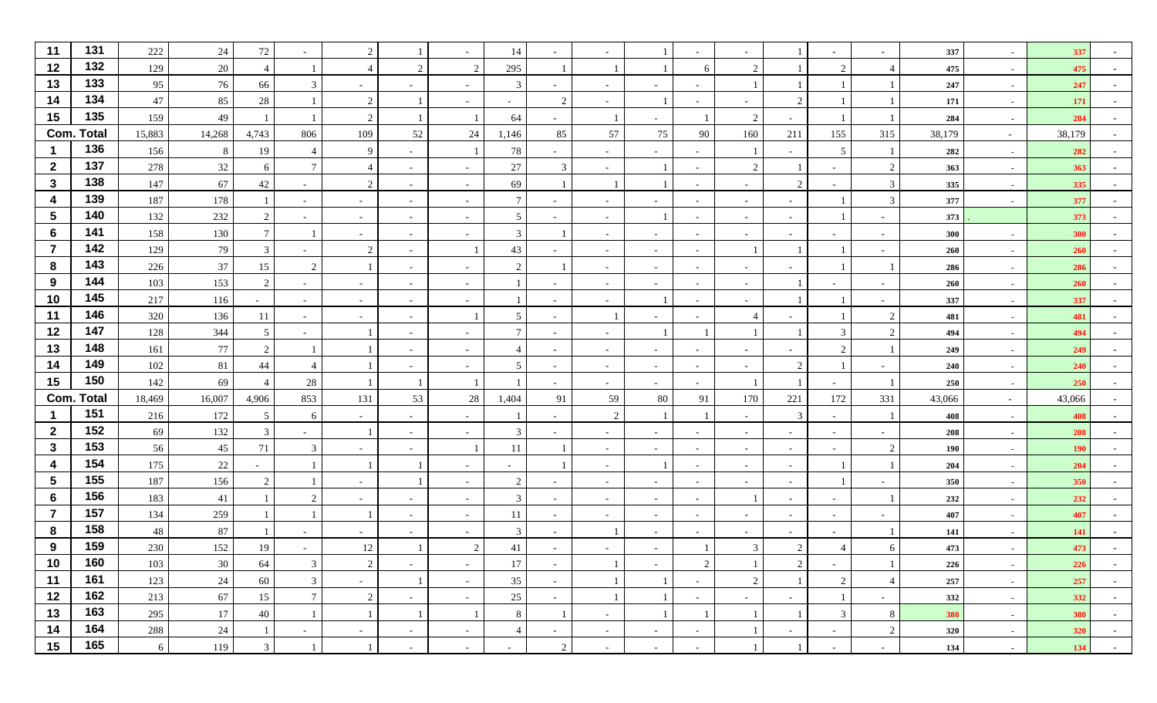| 11              | 131               | 222        | 24       | 72            |                          | 2                        |                          |                          | 14                       |                          |                          |                          |                          |                          |                          |                               |                | 337        |                          | 337        |                  |
|-----------------|-------------------|------------|----------|---------------|--------------------------|--------------------------|--------------------------|--------------------------|--------------------------|--------------------------|--------------------------|--------------------------|--------------------------|--------------------------|--------------------------|-------------------------------|----------------|------------|--------------------------|------------|------------------|
| 12              | 132               | 129        | 20       |               |                          | $\overline{4}$           | 2                        | 2                        | 295                      |                          |                          |                          | 6                        |                          |                          | 2                             |                | 475        | $\sim$                   | 475        |                  |
| 13              | 133               | 95         | 76       | 66            | 3                        | $\sim$                   | $\overline{\phantom{a}}$ | $\overline{\phantom{a}}$ | 3                        | $\overline{\phantom{a}}$ |                          | $\sim$                   |                          |                          |                          |                               |                | 247        | $\overline{\phantom{a}}$ | 247        |                  |
| 14              | 134               | 47         | 85       | 28            |                          | 2                        |                          |                          | $\overline{\phantom{a}}$ | $\mathcal{D}$            |                          |                          |                          |                          | $\bigcap$                |                               |                | 171        | $\sim$                   | 171        |                  |
| 15              | 135               | 159        | 49       |               |                          | 2                        |                          |                          | 64                       | $\sim$                   |                          | $\sim$                   |                          | $\overline{2}$           |                          |                               |                | 284        | $\sim$                   | 284        |                  |
|                 | <b>Com. Total</b> | 15,883     | 14,268   | 4,743         | 806                      | 109                      | 52                       | 24                       | 1,146                    | 85                       | 57                       | 75                       | 90                       | 160                      | 211                      | 155                           | 315            | 38,179     | $\sim$                   | 38,179     |                  |
|                 | 136               | 156        | 8        | 19            | $\overline{4}$           | 9                        | $\overline{\phantom{a}}$ |                          | 78                       |                          |                          | $\sim$                   | Ξ.                       |                          |                          | 5                             |                | 282        | $\sim$                   | 282        |                  |
| $\mathbf{2}$    | 137               | 278        | $32\,$   | 6             | $\overline{7}$           | -4                       | $\overline{\phantom{a}}$ |                          | 27                       | 3                        |                          |                          |                          | $\mathcal{D}$            |                          | $\overline{\phantom{a}}$      | $\overline{2}$ | 363        | $\overline{\phantom{a}}$ | 363        |                  |
| $\mathbf{3}$    | 138               | 147        | 67       | 42            | $\overline{\phantom{a}}$ | 2                        | $\overline{\phantom{a}}$ | $\overline{a}$           | 69                       |                          |                          |                          | $\overline{\phantom{a}}$ | $\overline{\phantom{a}}$ | 2                        | $\overline{\phantom{a}}$      | 3              | 335        | $\sim$                   | 335        |                  |
| 4               | 139               | 187        | 178      |               | $\overline{\phantom{a}}$ | $\sim$                   | $\sim$                   | $\sim$                   | $\overline{7}$           |                          | $\overline{\phantom{0}}$ | $\sim$                   | $\sim$                   | $\sim$                   | $\overline{\phantom{a}}$ |                               | $\mathbf{3}$   | 377        | $\sim$                   | 377        |                  |
| 5               | 140               | 132        | 232      | $\gamma$      | $\overline{\phantom{a}}$ | $\sim$                   | $\overline{\phantom{a}}$ |                          | 5                        |                          |                          |                          |                          | $\overline{\phantom{a}}$ |                          |                               |                | 373        |                          | 373        |                  |
| 6               | 141               | 158        | 130      | $\tau$        |                          | $\sim$                   | $\overline{\phantom{a}}$ |                          | 3                        |                          |                          | $\sim$                   | $\overline{\phantom{a}}$ | $\sim$                   |                          | $\overline{\phantom{a}}$      |                | 300        | $\overline{\phantom{a}}$ | 300        |                  |
|                 | 142               | 129        | 79       | 3             | $\overline{\phantom{a}}$ | 2                        | $\overline{\phantom{a}}$ |                          | 43                       |                          | $\sim$                   | $\sim$                   |                          |                          |                          |                               |                | 260        | $\overline{\phantom{a}}$ | 260        |                  |
| 8               | 143               | 226        | 37       | 15            | 2                        |                          | $\overline{\phantom{a}}$ |                          | $\overline{2}$           |                          | $\overline{\phantom{0}}$ | $\sim$                   | $\sim$                   | $\overline{\phantom{a}}$ |                          |                               |                | 286        | $\sim$                   | 286        |                  |
| 9               | 144               | 103        | 153      | 2             | $\sim$                   | $\sim$                   | $\sim$                   | $\overline{\phantom{a}}$ |                          |                          | $\sim$                   | $\sim$                   | $\sim$                   | $\sim$                   |                          | $\overline{\phantom{a}}$      | $\sim$         | 260        | $\overline{\phantom{a}}$ | 260        |                  |
| 10              | 145               | 217        | 116      |               | $\overline{\phantom{a}}$ | $\sim$                   | $\overline{\phantom{a}}$ |                          |                          |                          |                          |                          |                          |                          |                          |                               |                | 337        |                          | 337        |                  |
| 11              | 146               | 320        | 136      | 11            | $\overline{\phantom{a}}$ | $\sim$                   | $\overline{\phantom{a}}$ |                          | 5                        |                          |                          | $\overline{\phantom{0}}$ |                          |                          |                          |                               | 2              | 481        | $\sim$                   | 481        |                  |
| 12              | 147               | 128        | 344      | 5             | $\overline{\phantom{a}}$ |                          | $\overline{\phantom{a}}$ |                          | $\overline{7}$           |                          |                          |                          |                          |                          |                          | 3                             | $\overline{2}$ | 494        | $\overline{\phantom{a}}$ | 494        |                  |
| 13              | 148               | 161        | 77       | $\mathcal{D}$ |                          |                          | $\overline{\phantom{a}}$ | $\overline{\phantom{a}}$ | $\overline{4}$           |                          | $\overline{\phantom{0}}$ | $\sim$                   | $\sim$                   | $\overline{\phantom{a}}$ |                          | $\gamma$                      |                | 249        | $\sim$                   | 249        |                  |
| 14              | 149               | 102        | 81       | 44            |                          |                          | $\sim$                   | $\overline{\phantom{a}}$ | 5                        |                          | $\sim$                   | $\sim$                   | $\sim$                   | $\sim$                   | 2                        |                               |                | 240        | $\overline{\phantom{a}}$ | 240        |                  |
| 15              | 150               | 142        | 69       |               | 28                       |                          | -1                       |                          | -1                       |                          |                          | $\sim$                   | Ξ.                       |                          |                          |                               |                | 250        |                          | 250        |                  |
|                 | <b>Com. Total</b> | 18,469     | 16,007   | 4,906         | 853                      | 131                      | 53                       | 28                       | 1,404                    | 91                       | 59                       | 80                       | 91                       | 170                      | 221                      | 172                           | 331            | 43,066     | $\sim$                   | 43,066     |                  |
| 1               | 151               | 216        | 172      | 5             | 6                        | $\sim$                   | $\overline{\phantom{a}}$ |                          |                          |                          | 2                        |                          |                          | $\overline{\phantom{a}}$ | 3                        | $\blacksquare$                |                | 408        | $\sim$                   | 408        |                  |
| $\overline{2}$  | 152               | 69         | 132      | 3             | $\overline{\phantom{a}}$ |                          | $\sim$                   |                          | 3                        |                          | $\sim$                   | $\sim$                   | $\overline{\phantom{a}}$ | $\sim$                   | $\overline{\phantom{a}}$ | $\sim$                        | $\sim$         | 208        | $\sim$                   | 208        |                  |
| $\mathbf{3}$    | 153               | 56         | 45       | 71            | 3                        | $\sim$                   | $\sim$                   |                          | 11                       |                          | $\overline{\phantom{0}}$ | $\sim$                   | $\sim$                   | $\sim$                   | $\overline{\phantom{a}}$ | $\sim$                        | 2              | 190        | $\overline{\phantom{a}}$ | 190        |                  |
| 4               | 154               | 175        | $22\,$   |               |                          |                          |                          |                          |                          |                          |                          |                          |                          |                          |                          |                               |                | 204        |                          | 204        |                  |
| $5\phantom{.0}$ | 155<br>156        | 187        | 156      | $\mathcal{D}$ |                          | $\sim$                   |                          |                          | $\overline{2}$           |                          |                          | $\sim$                   | Ξ.                       | $\overline{\phantom{a}}$ |                          |                               |                | 350        | $\sim$                   | 350        |                  |
| 6               | 157               | 183        | 41       |               | $\overline{2}$           | $\sim$                   |                          |                          | 3                        |                          |                          | $\sim$                   |                          |                          |                          | $\overline{\phantom{a}}$      |                | 232        | $\overline{\phantom{a}}$ | 232        |                  |
| $\overline{7}$  | 158               | 134        | 259      |               |                          |                          | $\overline{\phantom{a}}$ | $\overline{\phantom{a}}$ | 11                       |                          |                          | $\sim$                   | $\sim$                   | $\overline{\phantom{a}}$ |                          | $\overline{\phantom{a}}$      |                | 407        | $\sim$                   | 407        |                  |
| 8<br>9          | 159               | 48         | 87       |               |                          | $\overline{\phantom{0}}$ |                          | 2                        | 3                        |                          |                          | $\sim$                   |                          |                          | $\mathfrak{D}$           |                               |                | 141        |                          | 141        |                  |
|                 | 160               | 230        | 152      | 19            |                          | 12                       |                          |                          | 41                       |                          |                          |                          |                          | 3                        |                          |                               | 6              | 473        |                          | 473        |                  |
| 10<br>11        | 161               | 103<br>123 | 30<br>24 | 64            | 3<br>$\mathfrak{Z}$      | 2                        | $\sim$<br>-1             | $\sim$                   | 17<br>35                 | $\sim$                   | -1                       | $\sim$                   | 2                        | 2                        | 2                        | $\overline{\phantom{a}}$<br>2 | $\overline{4}$ | 226        | $\overline{\phantom{a}}$ | 226        | $\sim$           |
| 12              | 162               | 213        | 67       | 60            | $\tau$                   | $\sim$                   |                          | $\sim$                   |                          | $\sim$                   | -1                       |                          | $\sim$                   |                          |                          |                               |                | $257\,$    | $\sim$                   | 257        | $\sim$ 100 $\mu$ |
| 13              | 163               | 295        | 17       | 15<br>40      | -1                       | $\overline{2}$           | $\sim$<br>-1             | $\sim$                   | 25<br>8                  | $\sim$                   |                          |                          | $\sim$ $-$               | $\sim$                   | $\sim$                   | -1<br>$\mathfrak{Z}$          | $\sim$<br>8    | 332<br>380 | $\sim$                   | 332<br>380 | $\sim$           |
| 14              | 164               | 288        | 24       |               | $\sim$                   | $\sim$                   |                          |                          | $\overline{4}$           | $\sim$                   | $\sim$                   | $\sim$                   | $\sim$                   |                          | $\overline{\phantom{a}}$ | $\sim$                        | 2              | 320        | $\sim$                   | 320        | $\sim$           |
| 15              | 165               |            | 119      | 3             |                          |                          | $\sim$                   | $\sim$                   |                          |                          | $\sim$                   |                          |                          |                          |                          |                               |                |            | $\sim$                   |            | $\sim$ $-$       |
|                 |                   | 6          |          |               |                          |                          | $\sim$                   | $\overline{\phantom{a}}$ | $\sim$                   | 2                        |                          | $\sim$                   | $\blacksquare$           |                          |                          | $\blacksquare$                | $\sim$         | 134        | $\sim$                   | 134        |                  |